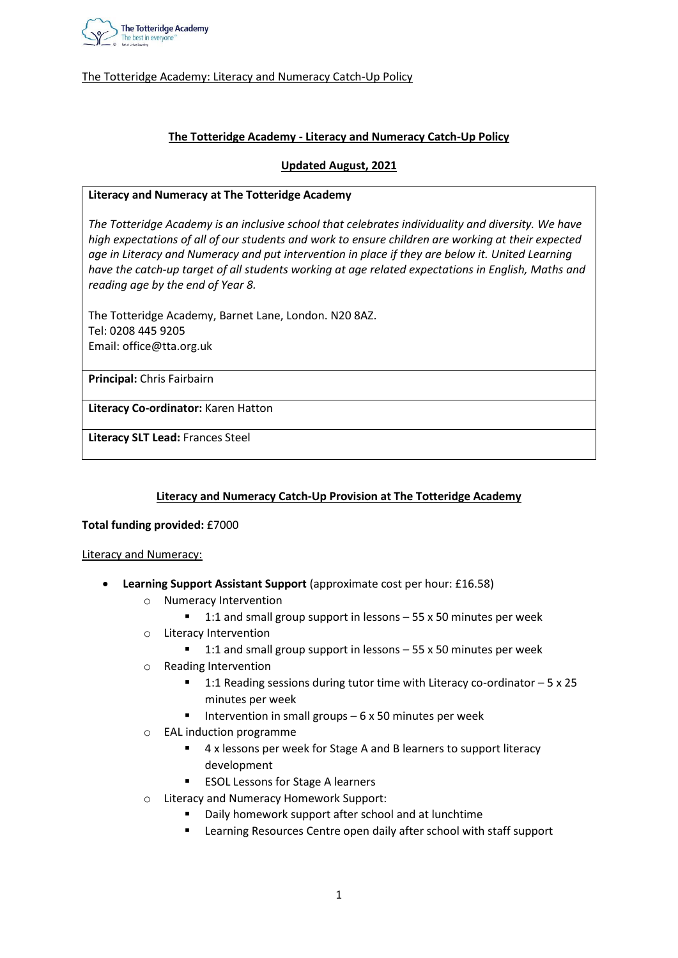

# **The Totteridge Academy - Literacy and Numeracy Catch-Up Policy**

#### **Updated August, 2021**

#### **Literacy and Numeracy at The Totteridge Academy**

*The Totteridge Academy is an inclusive school that celebrates individuality and diversity. We have high expectations of all of our students and work to ensure children are working at their expected*  age in Literacy and Numeracy and put intervention in place if they are below it. United Learning *have the catch-up target of all students working at age related expectations in English, Maths and reading age by the end of Year 8.* 

The Totteridge Academy, Barnet Lane, London. N20 8AZ. Tel: 0208 445 9205 Email: office@tta.org.uk

**Principal:** Chris Fairbairn

**Literacy Co-ordinator:** Karen Hatton

**Literacy SLT Lead:** Frances Steel

### **Literacy and Numeracy Catch-Up Provision at The Totteridge Academy**

#### **Total funding provided:** £7000

#### Literacy and Numeracy:

- **Learning Support Assistant Support** (approximate cost per hour: £16.58)
	- o Numeracy Intervention
		- 1:1 and small group support in lessons  $-55$  x 50 minutes per week
	- o Literacy Intervention
		- 1:1 and small group support in lessons  $-55$  x 50 minutes per week
	- o Reading Intervention
		- 1:1 Reading sessions during tutor time with Literacy co-ordinator 5 x 25 minutes per week
		- Intervention in small groups  $-6 \times 50$  minutes per week
	- o EAL induction programme
		- 4 x lessons per week for Stage A and B learners to support literacy development
		- ESOL Lessons for Stage A learners
	- o Literacy and Numeracy Homework Support:
		- Daily homework support after school and at lunchtime
		- Learning Resources Centre open daily after school with staff support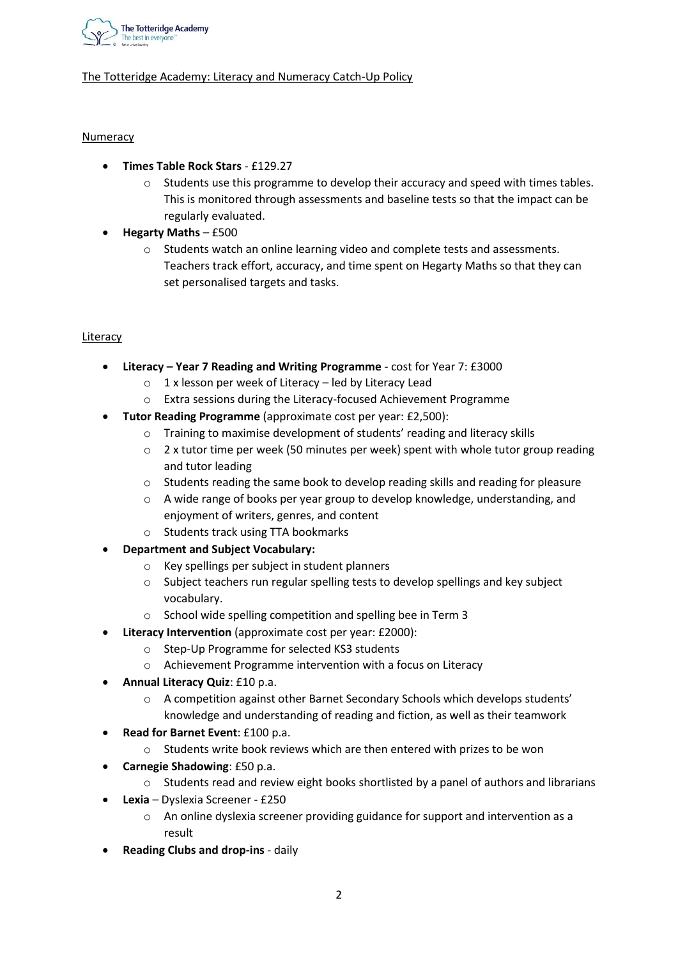

# Numeracy

- **Times Table Rock Stars** £129.27
	- $\circ$  Students use this programme to develop their accuracy and speed with times tables. This is monitored through assessments and baseline tests so that the impact can be regularly evaluated.
- **Hegarty Maths** £500
	- $\circ$  Students watch an online learning video and complete tests and assessments. Teachers track effort, accuracy, and time spent on Hegarty Maths so that they can set personalised targets and tasks.

### **Literacy**

- **Literacy – Year 7 Reading and Writing Programme** cost for Year 7: £3000
	- $\circ$  1 x lesson per week of Literacy led by Literacy Lead
	- o Extra sessions during the Literacy-focused Achievement Programme
- **Tutor Reading Programme** (approximate cost per year: £2,500):
	- o Training to maximise development of students' reading and literacy skills
	- $\circ$  2 x tutor time per week (50 minutes per week) spent with whole tutor group reading and tutor leading
	- $\circ$  Students reading the same book to develop reading skills and reading for pleasure
	- o A wide range of books per year group to develop knowledge, understanding, and enjoyment of writers, genres, and content
	- o Students track using TTA bookmarks
- **Department and Subject Vocabulary:**
	- o Key spellings per subject in student planners
	- o Subject teachers run regular spelling tests to develop spellings and key subject vocabulary.
	- o School wide spelling competition and spelling bee in Term 3
- **Literacy Intervention** (approximate cost per year: £2000):
	- o Step-Up Programme for selected KS3 students
	- o Achievement Programme intervention with a focus on Literacy
- **Annual Literacy Quiz**: £10 p.a.
	- o A competition against other Barnet Secondary Schools which develops students' knowledge and understanding of reading and fiction, as well as their teamwork
- **Read for Barnet Event**: £100 p.a.
	- o Students write book reviews which are then entered with prizes to be won
- **Carnegie Shadowing**: £50 p.a.
	- $\circ$  Students read and review eight books shortlisted by a panel of authors and librarians
- **Lexia** Dyslexia Screener £250
	- $\circ$  An online dyslexia screener providing guidance for support and intervention as a result
- **Reading Clubs and drop-ins** daily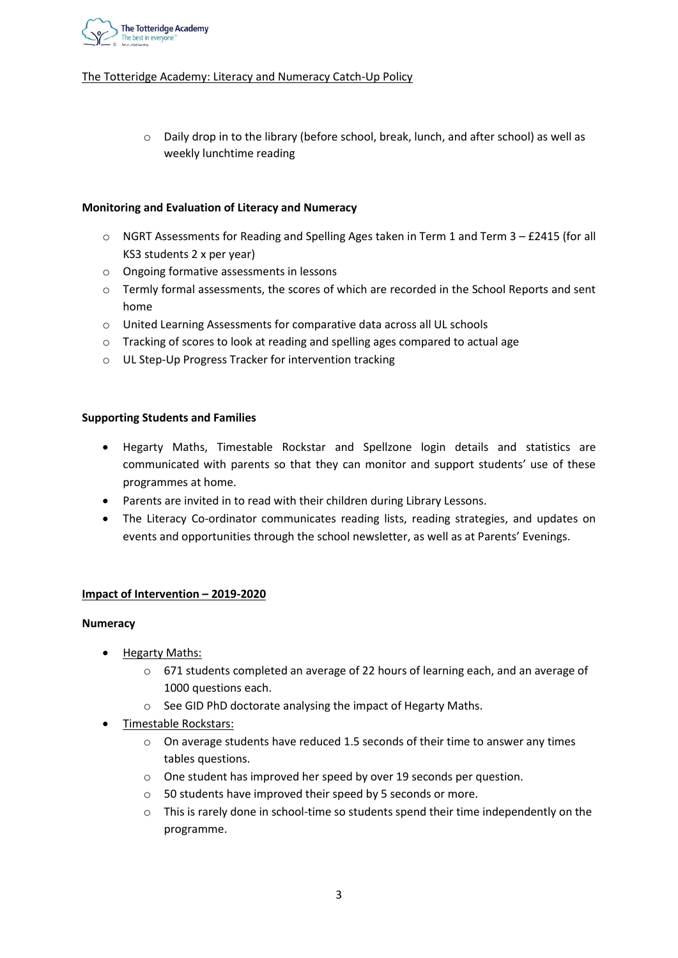

 $\circ$  Daily drop in to the library (before school, break, lunch, and after school) as well as weekly lunchtime reading

# **Monitoring and Evaluation of Literacy and Numeracy**

- o NGRT Assessments for Reading and Spelling Ages taken in Term 1 and Term 3 £2415 (for all KS3 students 2 x per year)
- o Ongoing formative assessments in lessons
- $\circ$  Termly formal assessments, the scores of which are recorded in the School Reports and sent home
- o United Learning Assessments for comparative data across all UL schools
- o Tracking of scores to look at reading and spelling ages compared to actual age
- o UL Step-Up Progress Tracker for intervention tracking

### **Supporting Students and Families**

- Hegarty Maths, Timestable Rockstar and Spellzone login details and statistics are communicated with parents so that they can monitor and support students' use of these programmes at home.
- Parents are invited in to read with their children during Library Lessons.
- The Literacy Co-ordinator communicates reading lists, reading strategies, and updates on events and opportunities through the school newsletter, as well as at Parents' Evenings.

### **Impact of Intervention – 2019-2020**

#### **Numeracy**

- Hegarty Maths:
	- o 671 students completed an average of 22 hours of learning each, and an average of 1000 questions each.
	- o See GID PhD doctorate analysing the impact of Hegarty Maths.
- Timestable Rockstars:
	- o On average students have reduced 1.5 seconds of their time to answer any times tables questions.
	- o One student has improved her speed by over 19 seconds per question.
	- o 50 students have improved their speed by 5 seconds or more.
	- $\circ$  This is rarely done in school-time so students spend their time independently on the programme.